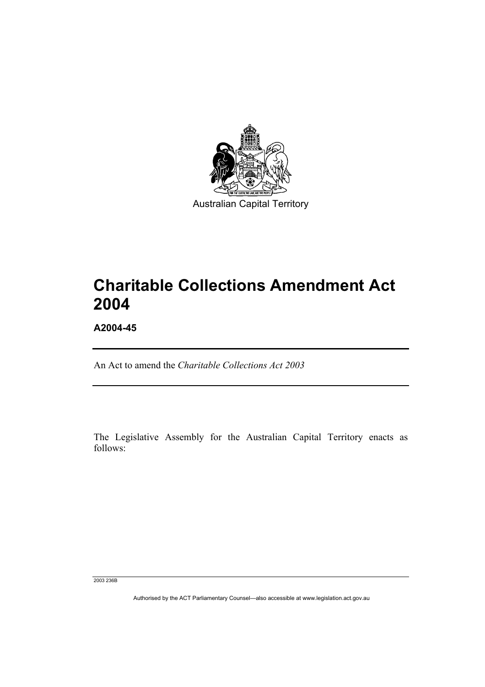

# **Charitable Collections Amendment Act 2004**

**A2004-45** 

An Act to amend the *Charitable Collections Act 2003*

The Legislative Assembly for the Australian Capital Territory enacts as follows:

2003 236B

Authorised by the ACT Parliamentary Counsel—also accessible at www.legislation.act.gov.au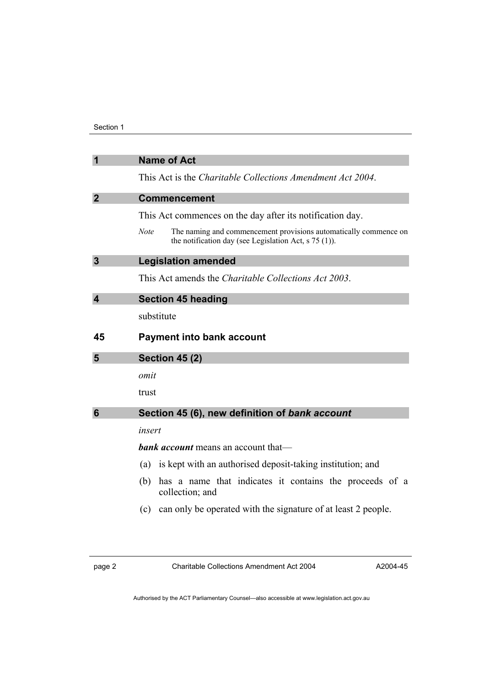| $\overline{\mathbf{1}}$ | <b>Name of Act</b>                                                                                                                         |
|-------------------------|--------------------------------------------------------------------------------------------------------------------------------------------|
|                         | This Act is the <i>Charitable Collections Amendment Act 2004</i> .                                                                         |
| $\overline{2}$          | <b>Commencement</b>                                                                                                                        |
|                         | This Act commences on the day after its notification day.                                                                                  |
|                         | <b>Note</b><br>The naming and commencement provisions automatically commence on<br>the notification day (see Legislation Act, $s$ 75 (1)). |
| $\overline{3}$          | <b>Legislation amended</b>                                                                                                                 |
|                         | This Act amends the <i>Charitable Collections Act 2003</i> .                                                                               |
| $\overline{\mathbf{4}}$ | <b>Section 45 heading</b>                                                                                                                  |
|                         | substitute                                                                                                                                 |
| 45                      | <b>Payment into bank account</b>                                                                                                           |
| 5                       | <b>Section 45 (2)</b>                                                                                                                      |
|                         | omit                                                                                                                                       |
|                         | trust                                                                                                                                      |
| $6\phantom{1}6$         | Section 45 (6), new definition of bank account                                                                                             |
|                         | insert                                                                                                                                     |
|                         | <b>bank account</b> means an account that—                                                                                                 |
|                         | is kept with an authorised deposit-taking institution; and<br>(a)                                                                          |
|                         | has a name that indicates it contains the proceeds of a<br>(b)<br>collection; and                                                          |
|                         | can only be operated with the signature of at least 2 people.<br>(c)                                                                       |

page 2 Charitable Collections Amendment Act 2004

A2004-45

Authorised by the ACT Parliamentary Counsel—also accessible at www.legislation.act.gov.au